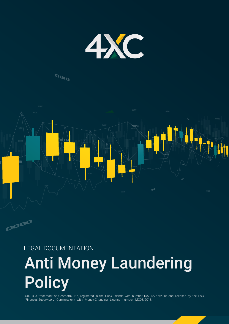

# OBID



# LEGAL DOCUMENTATION Anti Money Laundering **Policy**

4XC is a trademark of Geomatrix Ltd, registered in the Cook Islands with number ICA 12767/2018 and licensed by the FSC (Financial Supervisory Commission) with Money-Changing License number MC03/2018.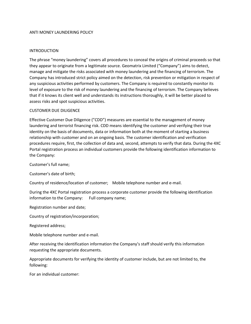#### ANTI MONEY LAUNDERING POLICY

#### INTRODUCTION

The phrase "money laundering" covers all procedures to conceal the origins of criminal proceeds so that they appear to originate from a legitimate source. Geomatrix Limited ("Company") aims to detect, manage and mitigate the risks associated with money laundering and the financing of terrorism. The Company has introduced strict policy aimed on the detection, risk prevention or mitigation in respect of any suspicious activities performed by customers. The Company is required to constantly monitor its level of exposure to the risk of money laundering and the financing of terrorism. The Company believes that if it knows its client well and understands its instructions thoroughly, it will be better placed to assess risks and spot suspicious activities.

#### CUSTOMER DUE DILIGENCE

Effective Customer Due Diligence ("CDD") measures are essential to the management of money laundering and terrorist financing risk. CDD means identifying the customer and verifying their true identity on the basis of documents, data or information both at the moment of starting a business relationship with customer and on an ongoing basis. The customer identification and verification procedures require, first, the collection of data and, second, attempts to verify that data. During the 4XC Portal registration process an individual customers provide the following identification information to the Company:

Customer's full name;

Customer's date of birth;

Country of residence/location of customer; Mobile telephone number and e-mail.

During the 4XC Portal registration process a corporate customer provide the following identification information to the Company: Full company name;

Registration number and date;

Country of registration/incorporation;

Registered address;

Mobile telephone number and e-mail.

After receiving the identification information the Company's staff should verify this information requesting the appropriate documents.

Appropriate documents for verifying the identity of customer include, but are not limited to, the following:

For an individual customer: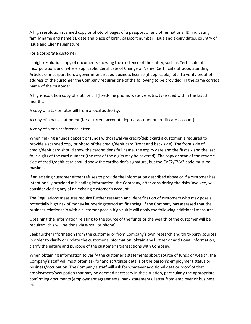A high resolution scanned copy or photo of pages of a passport or any other national ID, indicating family name and name(s), date and place of birth, passport number, issue and expiry dates, country of issue and Client's signature.;

For a corporate customer:

a high-resolution copy of documents showing the existence of the entity, such as Certificate of Incorporation, and, where applicable, Certificate of Change of Name, Certificate of Good Standing, Articles of incorporation, a government issued business license (if applicable), etc. To verify proof of address of the customer the Company requires one of the following to be provided, in the same correct name of the customer:

A high-resolution copy of a utility bill (fixed-line phone, water, electricity) issued within the last 3 months;

A copy of a tax or rates bill from a local authority;

A copy of a bank statement (for a current account, deposit account or credit card account);

A copy of a bank reference letter.

When making a funds deposit or funds withdrawal via credit/debit card a customer is required to provide a scanned copy or photo of the credit/debit card (front and back side). The front side of credit/debit card should show the cardholder's full name, the expiry date and the first six and the last four digits of the card number (the rest of the digits may be covered). The copy or scan of the reverse side of credit/debit card should show the cardholder's signature, but the CVC2/CVV2 code must be masked.

If an existing customer either refuses to provide the information described above or if a customer has intentionally provided misleading information, the Company, after considering the risks involved, will consider closing any of an existing customer's account.

The Regulations measures require further research and identification of customers who may pose a potentially high risk of money laundering/terrorism financing. If the Company has assessed that the business relationship with a customer pose a high risk it will apply the following additional measures:

Obtaining the information relating to the source of the funds or the wealth of the customer will be required (this will be done via e-mail or phone);

Seek further information from the customer or from Company's own research and third-party sources in order to clarify or update the customer's information, obtain any further or additional information, clarify the nature and purpose of the customer's transactions with Company.

When obtaining information to verify the customer's statements about source of funds or wealth, the Company's staff will most often ask for and scrutinize details of the person's employment status or business/occupation. The Company's staff will ask for whatever additional data or proof of that employment/occupation that may be deemed necessary in the situation, particularly the appropriate confirming documents (employment agreements, bank statements, letter from employer or business etc.).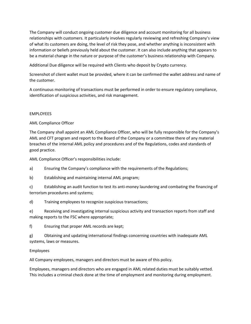The Company will conduct ongoing customer due diligence and account monitoring for all business relationships with customers. It particularly involves regularly reviewing and refreshing Company's view of what its customers are doing, the level of risk they pose, and whether anything is inconsistent with information or beliefs previously held about the customer. It can also include anything that appears to be a material change in the nature or purpose of the customer's business relationship with Company.

Additional Due diligence will be required with Clients who deposit by Crypto currency.

Screenshot of client wallet must be provided, where it can be confirmed the wallet address and name of the customer.

A continuous monitoring of transactions must be performed in order to ensure regulatory compliance, identification of suspicious activities, and risk management.

# EMPLOYEES

AML Compliance Officer

The Company shall appoint an AML Compliance Officer, who will be fully responsible for the Company's AML and CFT program and report to the Board of the Company or a committee there of any material breaches of the internal AML policy and procedures and of the Regulations, codes and standards of good practice.

AML Compliance Officer's responsibilities include:

a) Ensuring the Company's compliance with the requirements of the Regulations;

b) Establishing and maintaining internal AML program;

c) Establishing an audit function to test its anti-money laundering and combating the financing of terrorism procedures and systems;

d) Training employees to recognize suspicious transactions;

e) Receiving and investigating internal suspicious activity and transaction reports from staff and making reports to the FSC where appropriate;

f) Ensuring that proper AML records are kept;

g) Obtaining and updating international findings concerning countries with inadequate AML systems, laws or measures.

# Employees

All Company employees, managers and directors must be aware of this policy.

Employees, managers and directors who are engaged in AML related duties must be suitably vetted. This includes a criminal check done at the time of employment and monitoring during employment.